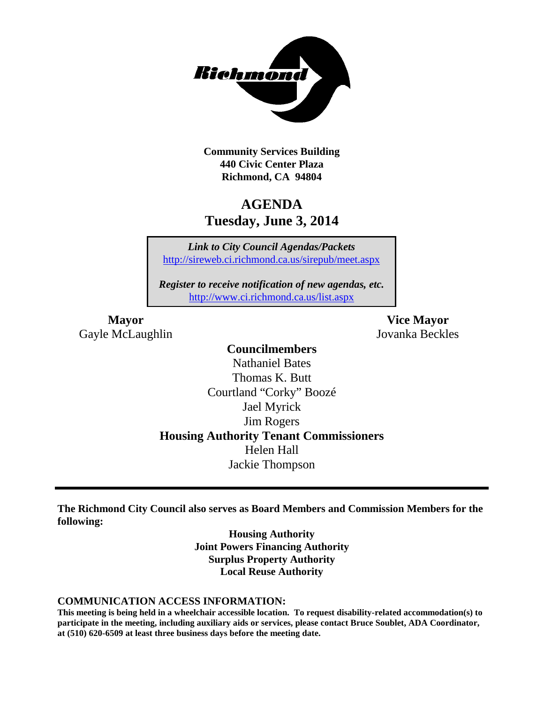

**Community Services Building 440 Civic Center Plaza Richmond, CA 94804**

## **AGENDA Tuesday, June 3, 2014**

*Link to City Council Agendas/Packets* <http://sireweb.ci.richmond.ca.us/sirepub/meet.aspx>

*Register to receive notification of new agendas, etc.* <http://www.ci.richmond.ca.us/list.aspx>

Gayle McLaughlin Jovanka Beckles

**Mayor Vice Mayor**

## **Councilmembers**

Nathaniel Bates Thomas K. Butt Courtland "Corky" Boozé Jael Myrick Jim Rogers **Housing Authority Tenant Commissioners** Helen Hall Jackie Thompson

**The Richmond City Council also serves as Board Members and Commission Members for the following:**

> **Housing Authority Joint Powers Financing Authority Surplus Property Authority Local Reuse Authority**

#### **COMMUNICATION ACCESS INFORMATION:**

**This meeting is being held in a wheelchair accessible location. To request disability-related accommodation(s) to participate in the meeting, including auxiliary aids or services, please contact Bruce Soublet, ADA Coordinator, at (510) 620-6509 at least three business days before the meeting date.**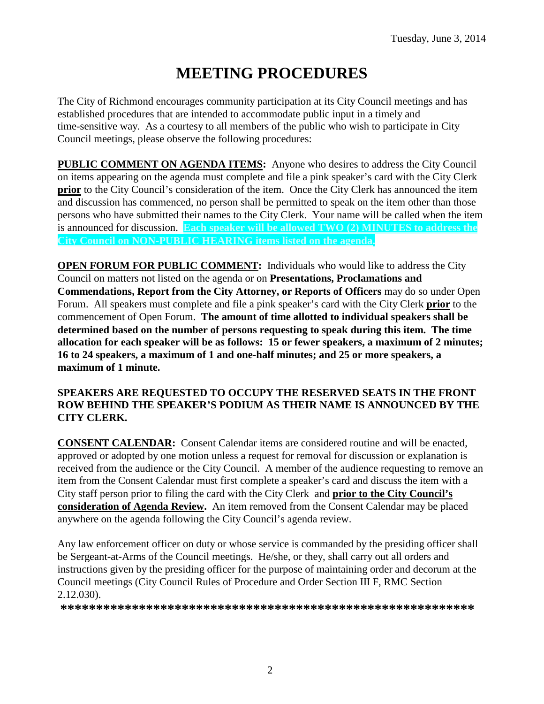# **MEETING PROCEDURES**

The City of Richmond encourages community participation at its City Council meetings and has established procedures that are intended to accommodate public input in a timely and time-sensitive way. As a courtesy to all members of the public who wish to participate in City Council meetings, please observe the following procedures:

**PUBLIC COMMENT ON AGENDA ITEMS:** Anyone who desires to address the City Council on items appearing on the agenda must complete and file a pink speaker's card with the City Clerk **prior** to the City Council's consideration of the item. Once the City Clerk has announced the item and discussion has commenced, no person shall be permitted to speak on the item other than those persons who have submitted their names to the City Clerk. Your name will be called when the item is announced for discussion. **Each speaker will be allowed TWO (2) MINUTES to address the City Council on NON-PUBLIC HEARING items listed on the agenda.**

**OPEN FORUM FOR PUBLIC COMMENT:** Individuals who would like to address the City Council on matters not listed on the agenda or on **Presentations, Proclamations and Commendations, Report from the City Attorney, or Reports of Officers** may do so under Open Forum. All speakers must complete and file a pink speaker's card with the City Clerk **prior** to the commencement of Open Forum. **The amount of time allotted to individual speakers shall be determined based on the number of persons requesting to speak during this item. The time allocation for each speaker will be as follows: 15 or fewer speakers, a maximum of 2 minutes; 16 to 24 speakers, a maximum of 1 and one-half minutes; and 25 or more speakers, a maximum of 1 minute.**

#### **SPEAKERS ARE REQUESTED TO OCCUPY THE RESERVED SEATS IN THE FRONT ROW BEHIND THE SPEAKER'S PODIUM AS THEIR NAME IS ANNOUNCED BY THE CITY CLERK.**

**CONSENT CALENDAR:** Consent Calendar items are considered routine and will be enacted, approved or adopted by one motion unless a request for removal for discussion or explanation is received from the audience or the City Council. A member of the audience requesting to remove an item from the Consent Calendar must first complete a speaker's card and discuss the item with a City staff person prior to filing the card with the City Clerk and **prior to the City Council's consideration of Agenda Review.** An item removed from the Consent Calendar may be placed anywhere on the agenda following the City Council's agenda review.

Any law enforcement officer on duty or whose service is commanded by the presiding officer shall be Sergeant-at-Arms of the Council meetings. He/she, or they, shall carry out all orders and instructions given by the presiding officer for the purpose of maintaining order and decorum at the Council meetings (City Council Rules of Procedure and Order Section III F, RMC Section 2.12.030).

**\*\*\*\*\*\*\*\*\*\*\*\*\*\*\*\*\*\*\*\*\*\*\*\*\*\*\*\*\*\*\*\*\*\*\*\*\*\*\*\*\*\*\*\*\*\*\*\*\*\*\*\*\*\*\*\*\*\***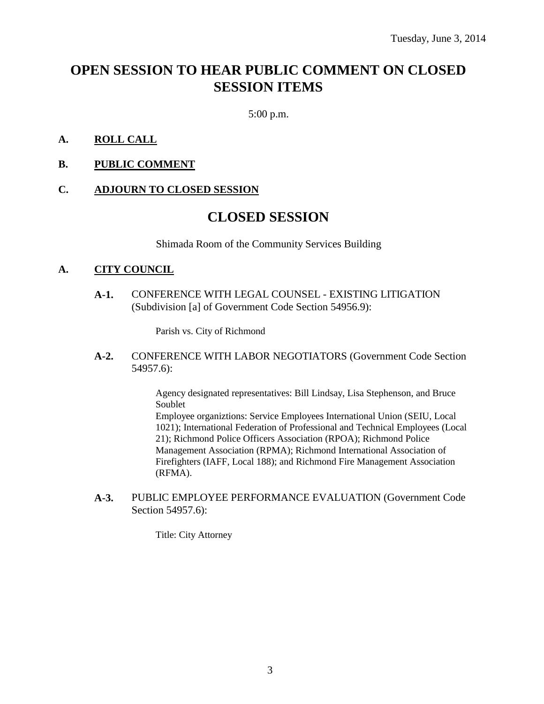## **OPEN SESSION TO HEAR PUBLIC COMMENT ON CLOSED SESSION ITEMS**

5:00 p.m.

#### **A. ROLL CALL**

**B. PUBLIC COMMENT**

#### **C. ADJOURN TO CLOSED SESSION**

## **CLOSED SESSION**

Shimada Room of the Community Services Building

#### **A. CITY COUNCIL**

**A-1.** CONFERENCE WITH LEGAL COUNSEL - EXISTING LITIGATION (Subdivision [a] of Government Code Section 54956.9):

Parish vs. City of Richmond

**A-2.** CONFERENCE WITH LABOR NEGOTIATORS (Government Code Section 54957.6):

> Agency designated representatives: Bill Lindsay, Lisa Stephenson, and Bruce Soublet

Employee organiztions: Service Employees International Union (SEIU, Local 1021); International Federation of Professional and Technical Employees (Local 21); Richmond Police Officers Association (RPOA); Richmond Police Management Association (RPMA); Richmond International Association of Firefighters (IAFF, Local 188); and Richmond Fire Management Association (RFMA).

**A-3.** PUBLIC EMPLOYEE PERFORMANCE EVALUATION (Government Code Section 54957.6):

Title: City Attorney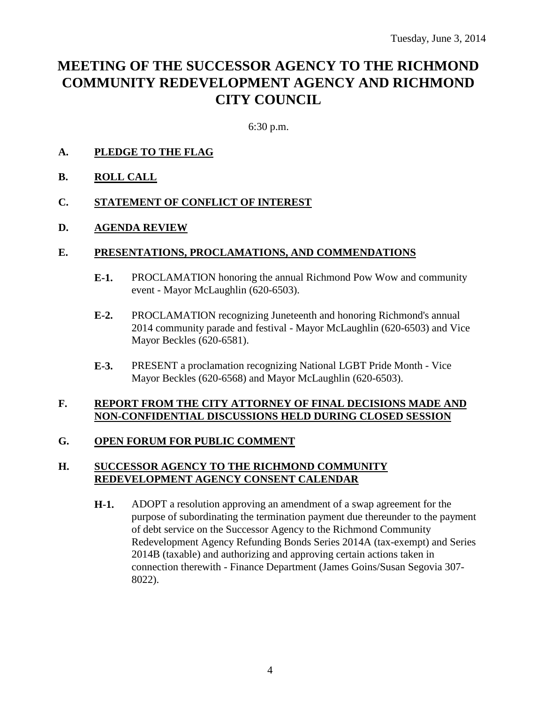## **MEETING OF THE SUCCESSOR AGENCY TO THE RICHMOND COMMUNITY REDEVELOPMENT AGENCY AND RICHMOND CITY COUNCIL**

6:30 p.m.

### **A. PLEDGE TO THE FLAG**

**B. ROLL CALL**

#### **C. STATEMENT OF CONFLICT OF INTEREST**

#### **D. AGENDA REVIEW**

#### **E. PRESENTATIONS, PROCLAMATIONS, AND COMMENDATIONS**

- **E-1.** PROCLAMATION honoring the annual Richmond Pow Wow and community event - Mayor McLaughlin (620-6503).
- **E-2.** PROCLAMATION recognizing Juneteenth and honoring Richmond's annual 2014 community parade and festival - Mayor McLaughlin (620-6503) and Vice Mayor Beckles (620-6581).
- **E-3.** PRESENT a proclamation recognizing National LGBT Pride Month Vice Mayor Beckles (620-6568) and Mayor McLaughlin (620-6503).

#### **F. REPORT FROM THE CITY ATTORNEY OF FINAL DECISIONS MADE AND NON-CONFIDENTIAL DISCUSSIONS HELD DURING CLOSED SESSION**

#### **G. OPEN FORUM FOR PUBLIC COMMENT**

#### **H. SUCCESSOR AGENCY TO THE RICHMOND COMMUNITY REDEVELOPMENT AGENCY CONSENT CALENDAR**

**H-1.** ADOPT a resolution approving an amendment of a swap agreement for the purpose of subordinating the termination payment due thereunder to the payment of debt service on the Successor Agency to the Richmond Community Redevelopment Agency Refunding Bonds Series 2014A (tax-exempt) and Series 2014B (taxable) and authorizing and approving certain actions taken in connection therewith - Finance Department (James Goins/Susan Segovia 307- 8022).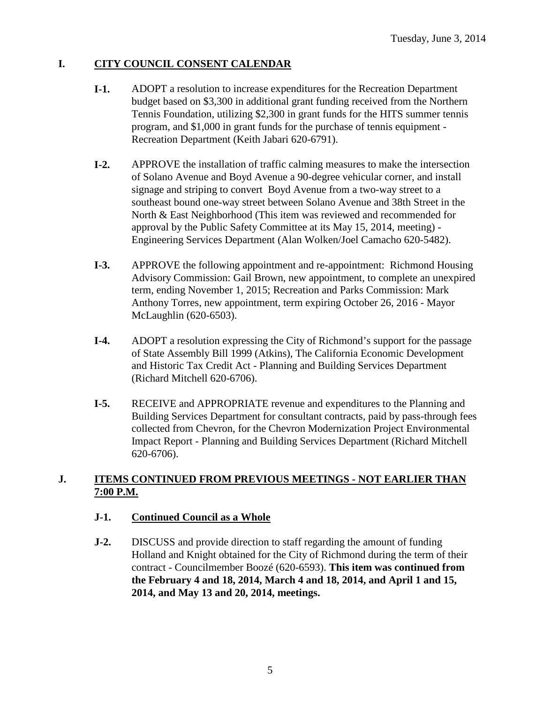### **I. CITY COUNCIL CONSENT CALENDAR**

- **I-1.** ADOPT a resolution to increase expenditures for the Recreation Department budget based on \$3,300 in additional grant funding received from the Northern Tennis Foundation, utilizing \$2,300 in grant funds for the HITS summer tennis program, and \$1,000 in grant funds for the purchase of tennis equipment - Recreation Department (Keith Jabari 620-6791).
- **I-2.** APPROVE the installation of traffic calming measures to make the intersection of Solano Avenue and Boyd Avenue a 90-degree vehicular corner, and install signage and striping to convert Boyd Avenue from a two-way street to a southeast bound one-way street between Solano Avenue and 38th Street in the North & East Neighborhood (This item was reviewed and recommended for approval by the Public Safety Committee at its May 15, 2014, meeting) - Engineering Services Department (Alan Wolken/Joel Camacho 620-5482).
- **I-3.** APPROVE the following appointment and re-appointment: Richmond Housing Advisory Commission: Gail Brown, new appointment, to complete an unexpired term, ending November 1, 2015; Recreation and Parks Commission: Mark Anthony Torres, new appointment, term expiring October 26, 2016 - Mayor McLaughlin (620-6503).
- **I-4.** ADOPT a resolution expressing the City of Richmond's support for the passage of State Assembly Bill 1999 (Atkins), The California Economic Development and Historic Tax Credit Act - Planning and Building Services Department (Richard Mitchell 620-6706).
- **I-5.** RECEIVE and APPROPRIATE revenue and expenditures to the Planning and Building Services Department for consultant contracts, paid by pass-through fees collected from Chevron, for the Chevron Modernization Project Environmental Impact Report - Planning and Building Services Department (Richard Mitchell 620-6706).

## **J. ITEMS CONTINUED FROM PREVIOUS MEETINGS - NOT EARLIER THAN 7:00 P.M.**

#### **J-1. Continued Council as a Whole**

**J-2.** DISCUSS and provide direction to staff regarding the amount of funding Holland and Knight obtained for the City of Richmond during the term of their contract - Councilmember Boozé (620-6593). **This item was continued from the February 4 and 18, 2014, March 4 and 18, 2014, and April 1 and 15, 2014, and May 13 and 20, 2014, meetings.**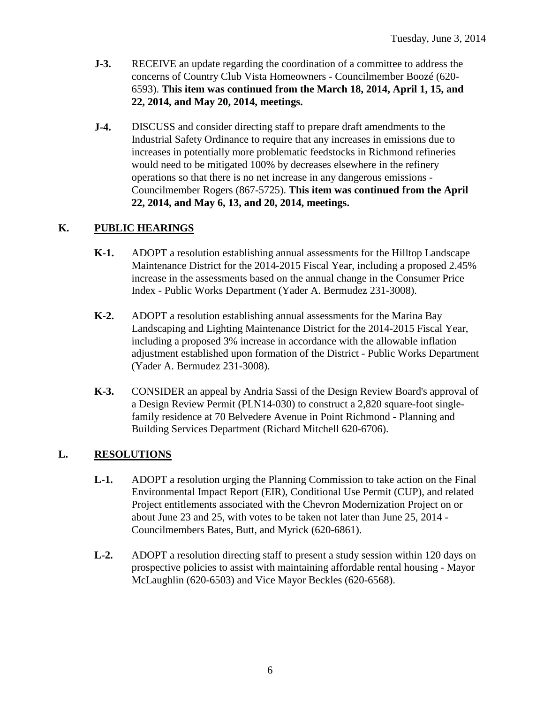- **J-3.** RECEIVE an update regarding the coordination of a committee to address the concerns of Country Club Vista Homeowners - Councilmember Boozé (620- 6593). **This item was continued from the March 18, 2014, April 1, 15, and 22, 2014, and May 20, 2014, meetings.**
- **J-4.** DISCUSS and consider directing staff to prepare draft amendments to the Industrial Safety Ordinance to require that any increases in emissions due to increases in potentially more problematic feedstocks in Richmond refineries would need to be mitigated 100% by decreases elsewhere in the refinery operations so that there is no net increase in any dangerous emissions - Councilmember Rogers (867-5725). **This item was continued from the April 22, 2014, and May 6, 13, and 20, 2014, meetings.**

## **K. PUBLIC HEARINGS**

- **K-1.** ADOPT a resolution establishing annual assessments for the Hilltop Landscape Maintenance District for the 2014-2015 Fiscal Year, including a proposed 2.45% increase in the assessments based on the annual change in the Consumer Price Index - Public Works Department (Yader A. Bermudez 231-3008).
- **K-2.** ADOPT a resolution establishing annual assessments for the Marina Bay Landscaping and Lighting Maintenance District for the 2014-2015 Fiscal Year, including a proposed 3% increase in accordance with the allowable inflation adjustment established upon formation of the District - Public Works Department (Yader A. Bermudez 231-3008).
- **K-3.** CONSIDER an appeal by Andria Sassi of the Design Review Board's approval of a Design Review Permit (PLN14-030) to construct a 2,820 square-foot singlefamily residence at 70 Belvedere Avenue in Point Richmond - Planning and Building Services Department (Richard Mitchell 620-6706).

## **L. RESOLUTIONS**

- **L-1.** ADOPT a resolution urging the Planning Commission to take action on the Final Environmental Impact Report (EIR), Conditional Use Permit (CUP), and related Project entitlements associated with the Chevron Modernization Project on or about June 23 and 25, with votes to be taken not later than June 25, 2014 - Councilmembers Bates, Butt, and Myrick (620-6861).
- **L-2.** ADOPT a resolution directing staff to present a study session within 120 days on prospective policies to assist with maintaining affordable rental housing - Mayor McLaughlin (620-6503) and Vice Mayor Beckles (620-6568).